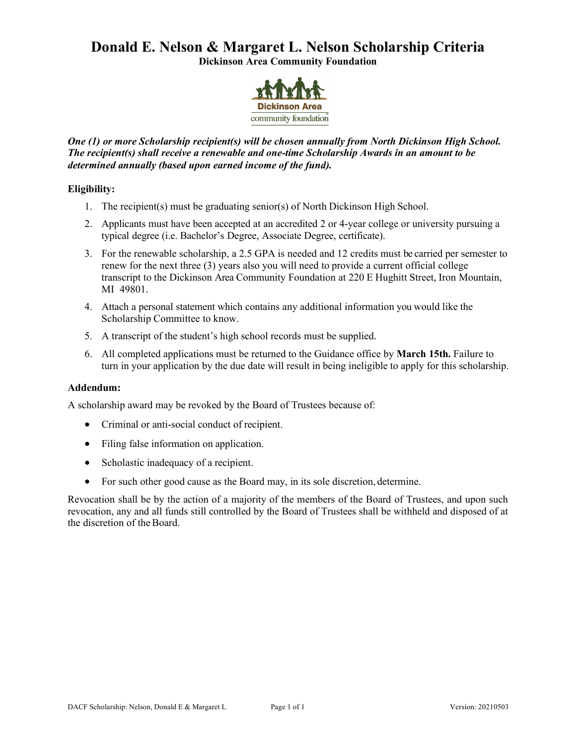# **Donald E. Nelson & Margaret L. Nelson Scholarship Criteria**

**Dickinson Area Community Foundation**



#### *One (1) or more Scholarship recipient(s) will be chosen annually from North Dickinson High School. The recipient(s) shall receive a renewable and one-time Scholarship Awards in an amount to be determined annually (based upon earned income of the fund).*

#### **Eligibility:**

- 1. The recipient(s) must be graduating senior(s) of North Dickinson High School.
- 2. Applicants must have been accepted at an accredited 2 or 4-year college or university pursuing a typical degree (i.e. Bachelor's Degree, Associate Degree, certificate).
- 3. For the renewable scholarship, a 2.5 GPA is needed and 12 credits must be carried per semester to renew for the next three (3) years also you will need to provide a current official college transcript to the Dickinson Area Community Foundation at 220 E Hughitt Street, Iron Mountain, MI 49801.
- 4. Attach a personal statement which contains any additional information you would like the Scholarship Committee to know.
- 5. A transcript of the student's high school records must be supplied.
- 6. All completed applications must be returned to the Guidance office by **March 15th.** Failure to turn in your application by the due date will result in being ineligible to apply for this scholarship.

#### **Addendum:**

A scholarship award may be revoked by the Board of Trustees because of:

- Criminal or anti-social conduct of recipient.
- Filing false information on application.
- Scholastic inadequacy of a recipient.
- For such other good cause as the Board may, in its sole discretion, determine.

Revocation shall be by the action of a majority of the members of the Board of Trustees, and upon such revocation, any and all funds still controlled by the Board of Trustees shall be withheld and disposed of at the discretion of the Board.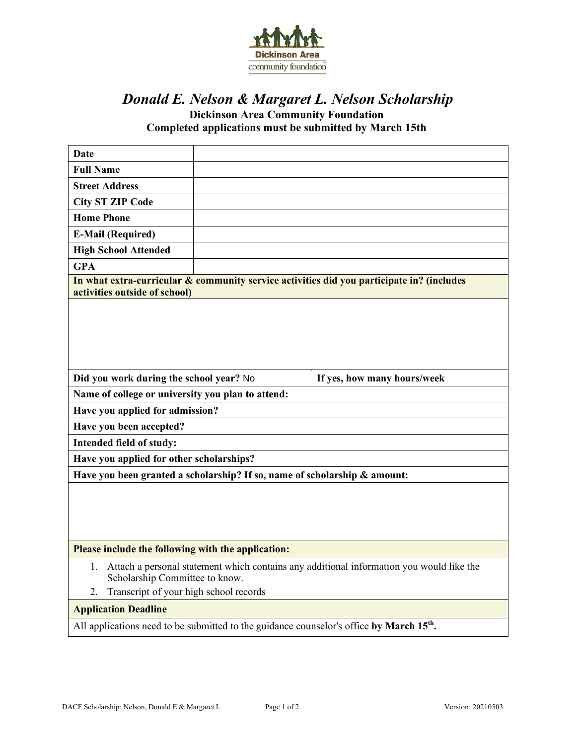

## *Donald E. Nelson & Margaret L. Nelson Scholarship*

**Dickinson Area Community Foundation Completed applications must be submitted by March 15th**

| Date                                                                                                                                                                             |  |  |
|----------------------------------------------------------------------------------------------------------------------------------------------------------------------------------|--|--|
| <b>Full Name</b>                                                                                                                                                                 |  |  |
| <b>Street Address</b>                                                                                                                                                            |  |  |
| <b>City ST ZIP Code</b>                                                                                                                                                          |  |  |
| <b>Home Phone</b>                                                                                                                                                                |  |  |
| <b>E-Mail (Required)</b>                                                                                                                                                         |  |  |
| <b>High School Attended</b>                                                                                                                                                      |  |  |
| <b>GPA</b>                                                                                                                                                                       |  |  |
| In what extra-curricular & community service activities did you participate in? (includes<br>activities outside of school)                                                       |  |  |
|                                                                                                                                                                                  |  |  |
| Did you work during the school year? No<br>If yes, how many hours/week                                                                                                           |  |  |
| Name of college or university you plan to attend:                                                                                                                                |  |  |
| Have you applied for admission?                                                                                                                                                  |  |  |
| Have you been accepted?                                                                                                                                                          |  |  |
| Intended field of study:                                                                                                                                                         |  |  |
| Have you applied for other scholarships?                                                                                                                                         |  |  |
| Have you been granted a scholarship? If so, name of scholarship & amount:                                                                                                        |  |  |
|                                                                                                                                                                                  |  |  |
| Please include the following with the application:                                                                                                                               |  |  |
| Attach a personal statement which contains any additional information you would like the<br>1.<br>Scholarship Committee to know.<br>Transcript of your high school records<br>2. |  |  |
| <b>Application Deadline</b>                                                                                                                                                      |  |  |
| All applications need to be submitted to the guidance counselor's office by March 15 <sup>th</sup> .                                                                             |  |  |